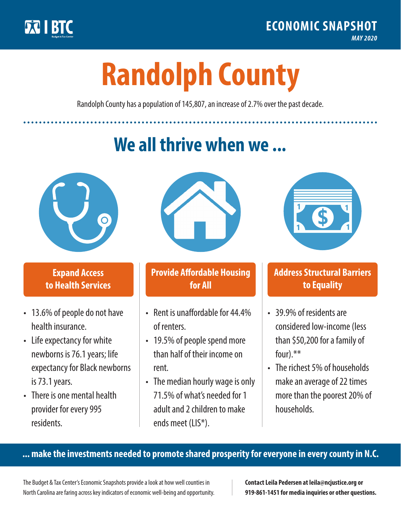

**1**

# **Randolph County**

Randolph County has a population of 145,807, an increase of 2.7% over the past decade.

# **We all thrive when we ...**



**\$ <sup>1</sup>**

**\$ <sup>1</sup>**

## **Expand Access to Health Services**

- 13.6% of people do not have health insurance.
- Life expectancy for white newborns is 76.1years; life expectancy for Black newborns is 73.1years.
- There is one mental health provider for every 995 residents.



## **Provide Affordable Housing for All**

- Rent is unaffordable for 44 4% of renters.
- 19.5% of people spend more than half of their income on rent.
- The median hourly wage is only 71.5% of what's needed for 1 adult and 2 children to make ends meet (LIS\*).



## **Address Structural Barriers to Equality**

- 39.9% of residents are considered low-income (less than \$50,200 for a family of four) $.**$
- The richest 5% of households make an average of 22 times more than the poorest 20% of households.

#### **... make the investments needed to promote shared prosperity for everyone in every county in N.C.**

The Budget & Tax Center's Economic Snapshots provide a look at how well counties in North Carolina are faring across key indicators of economic well-being and opportunity.